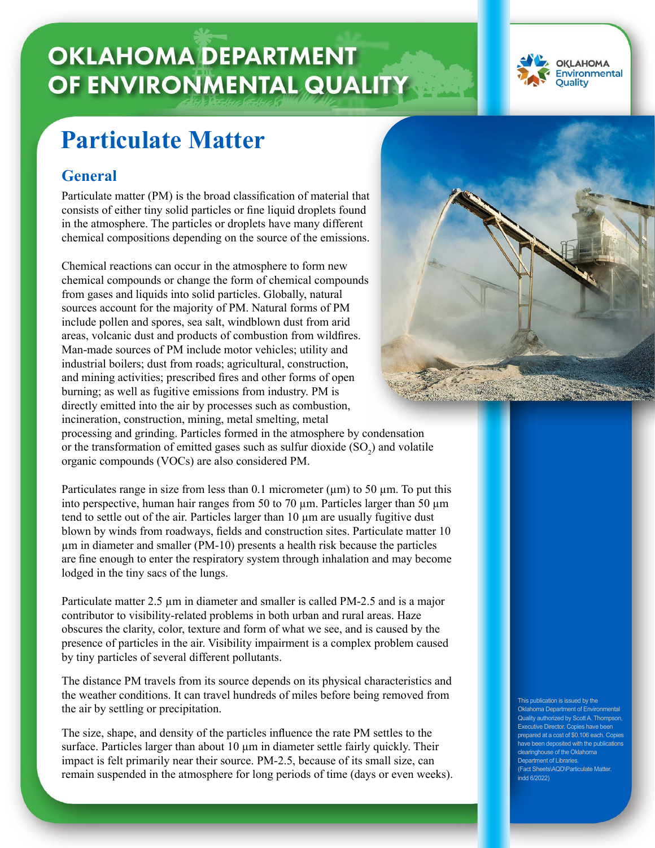# **OKLAHOMA DEPARTMENT** OF ENVIRONMENTAL QUALITY



## **Particulate Matter**

### **General**

Particulate matter (PM) is the broad classification of material that consists of either tiny solid particles or fine liquid droplets found in the atmosphere. The particles or droplets have many different chemical compositions depending on the source of the emissions.

Chemical reactions can occur in the atmosphere to form new chemical compounds or change the form of chemical compounds from gases and liquids into solid particles. Globally, natural sources account for the majority of PM. Natural forms of PM include pollen and spores, sea salt, windblown dust from arid areas, volcanic dust and products of combustion from wildfires. Man-made sources of PM include motor vehicles; utility and industrial boilers; dust from roads; agricultural, construction, and mining activities; prescribed fires and other forms of open burning; as well as fugitive emissions from industry. PM is directly emitted into the air by processes such as combustion, incineration, construction, mining, metal smelting, metal processing and grinding. Particles formed in the atmosphere by condensation or the transformation of emitted gases such as sulfur dioxide  $(SO_2)$  and volatile organic compounds (VOCs) are also considered PM.

Particulates range in size from less than 0.1 micrometer  $(\mu m)$  to 50  $\mu$ m. To put this into perspective, human hair ranges from 50 to 70 µm. Particles larger than 50 µm tend to settle out of the air. Particles larger than 10 µm are usually fugitive dust blown by winds from roadways, fields and construction sites. Particulate matter 10 µm in diameter and smaller (PM-10) presents a health risk because the particles are fine enough to enter the respiratory system through inhalation and may become lodged in the tiny sacs of the lungs.

Particulate matter 2.5  $\mu$ m in diameter and smaller is called PM-2.5 and is a major contributor to visibility-related problems in both urban and rural areas. Haze obscures the clarity, color, texture and form of what we see, and is caused by the presence of particles in the air. Visibility impairment is a complex problem caused by tiny particles of several different pollutants.

The distance PM travels from its source depends on its physical characteristics and the weather conditions. It can travel hundreds of miles before being removed from the air by settling or precipitation.

The size, shape, and density of the particles influence the rate PM settles to the surface. Particles larger than about  $10 \mu m$  in diameter settle fairly quickly. Their impact is felt primarily near their source. PM-2.5, because of its small size, can remain suspended in the atmosphere for long periods of time (days or even weeks).



This publication is issued by the Oklahoma Department of Environmental Quality authorized by Scott A. Thompson, Executive Director. Copies have been prepared at a cost of \$0.106 each. Copies have been deposited with the publications clearinghouse of the Oklahoma Department of Libraries (Fact Sheets\AQD\Particulate Matter. indd 6/2022)